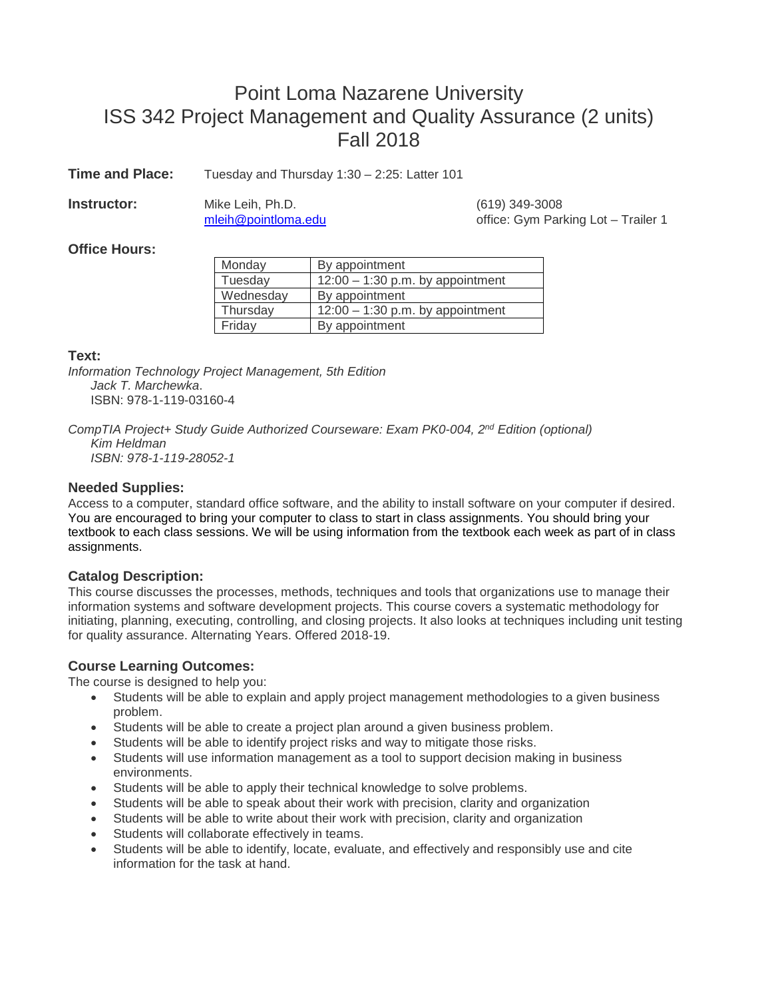# Point Loma Nazarene University ISS 342 Project Management and Quality Assurance (2 units) Fall 2018

**Time and Place:** Tuesday and Thursday 1:30 – 2:25: Latter 101

**Instructor:** Mike Leih, Ph.D. (619) 349-3008

[mleih@pointloma.edu](mailto:mleih@pointloma.edu) office: Gym Parking Lot – Trailer 1

# **Office Hours:**

| Monday    | By appointment                     |
|-----------|------------------------------------|
| Tuesday   | $12:00 - 1:30$ p.m. by appointment |
| Wednesday | By appointment                     |
| Thursday  | $12:00 - 1:30$ p.m. by appointment |
| Friday    | By appointment                     |

# **Text:**

*Information Technology Project Management, 5th Edition Jack T. Marchewka*. ISBN: 978-1-119-03160-4

*CompTIA Project+ Study Guide Authorized Courseware: Exam PK0-004, 2nd Edition (optional) Kim Heldman ISBN: 978-1-119-28052-1*

# **Needed Supplies:**

Access to a computer, standard office software, and the ability to install software on your computer if desired. You are encouraged to bring your computer to class to start in class assignments. You should bring your textbook to each class sessions. We will be using information from the textbook each week as part of in class assignments.

# **Catalog Description:**

This course discusses the processes, methods, techniques and tools that organizations use to manage their information systems and software development projects. This course covers a systematic methodology for initiating, planning, executing, controlling, and closing projects. It also looks at techniques including unit testing for quality assurance. Alternating Years. Offered 2018-19.

# **Course Learning Outcomes:**

The course is designed to help you:

- Students will be able to explain and apply project management methodologies to a given business problem.
- Students will be able to create a project plan around a given business problem.
- Students will be able to identify project risks and way to mitigate those risks.
- Students will use information management as a tool to support decision making in business environments.
- Students will be able to apply their technical knowledge to solve problems.
- Students will be able to speak about their work with precision, clarity and organization
- Students will be able to write about their work with precision, clarity and organization
- Students will collaborate effectively in teams.
- Students will be able to identify, locate, evaluate, and effectively and responsibly use and cite information for the task at hand.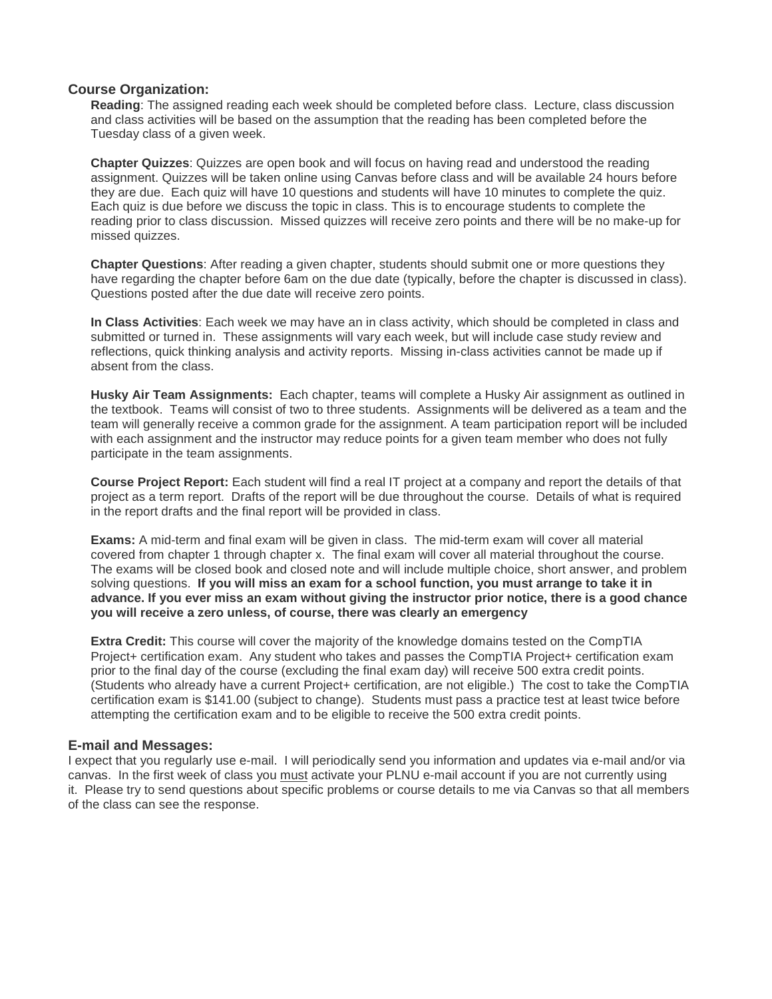#### **Course Organization:**

**Reading**: The assigned reading each week should be completed before class. Lecture, class discussion and class activities will be based on the assumption that the reading has been completed before the Tuesday class of a given week.

**Chapter Quizzes**: Quizzes are open book and will focus on having read and understood the reading assignment. Quizzes will be taken online using Canvas before class and will be available 24 hours before they are due. Each quiz will have 10 questions and students will have 10 minutes to complete the quiz. Each quiz is due before we discuss the topic in class. This is to encourage students to complete the reading prior to class discussion. Missed quizzes will receive zero points and there will be no make-up for missed quizzes.

**Chapter Questions**: After reading a given chapter, students should submit one or more questions they have regarding the chapter before 6am on the due date (typically, before the chapter is discussed in class). Questions posted after the due date will receive zero points.

**In Class Activities**: Each week we may have an in class activity, which should be completed in class and submitted or turned in. These assignments will vary each week, but will include case study review and reflections, quick thinking analysis and activity reports. Missing in-class activities cannot be made up if absent from the class.

**Husky Air Team Assignments:** Each chapter, teams will complete a Husky Air assignment as outlined in the textbook. Teams will consist of two to three students. Assignments will be delivered as a team and the team will generally receive a common grade for the assignment. A team participation report will be included with each assignment and the instructor may reduce points for a given team member who does not fully participate in the team assignments.

**Course Project Report:** Each student will find a real IT project at a company and report the details of that project as a term report. Drafts of the report will be due throughout the course. Details of what is required in the report drafts and the final report will be provided in class.

**Exams:** A mid-term and final exam will be given in class. The mid-term exam will cover all material covered from chapter 1 through chapter x. The final exam will cover all material throughout the course. The exams will be closed book and closed note and will include multiple choice, short answer, and problem solving questions. **If you will miss an exam for a school function, you must arrange to take it in advance. If you ever miss an exam without giving the instructor prior notice, there is a good chance you will receive a zero unless, of course, there was clearly an emergency**

**Extra Credit:** This course will cover the majority of the knowledge domains tested on the CompTIA Project+ certification exam. Any student who takes and passes the CompTIA Project+ certification exam prior to the final day of the course (excluding the final exam day) will receive 500 extra credit points. (Students who already have a current Project+ certification, are not eligible.) The cost to take the CompTIA certification exam is \$141.00 (subject to change). Students must pass a practice test at least twice before attempting the certification exam and to be eligible to receive the 500 extra credit points.

#### **E-mail and Messages:**

I expect that you regularly use e-mail. I will periodically send you information and updates via e-mail and/or via canvas. In the first week of class you must activate your PLNU e-mail account if you are not currently using it. Please try to send questions about specific problems or course details to me via Canvas so that all members of the class can see the response.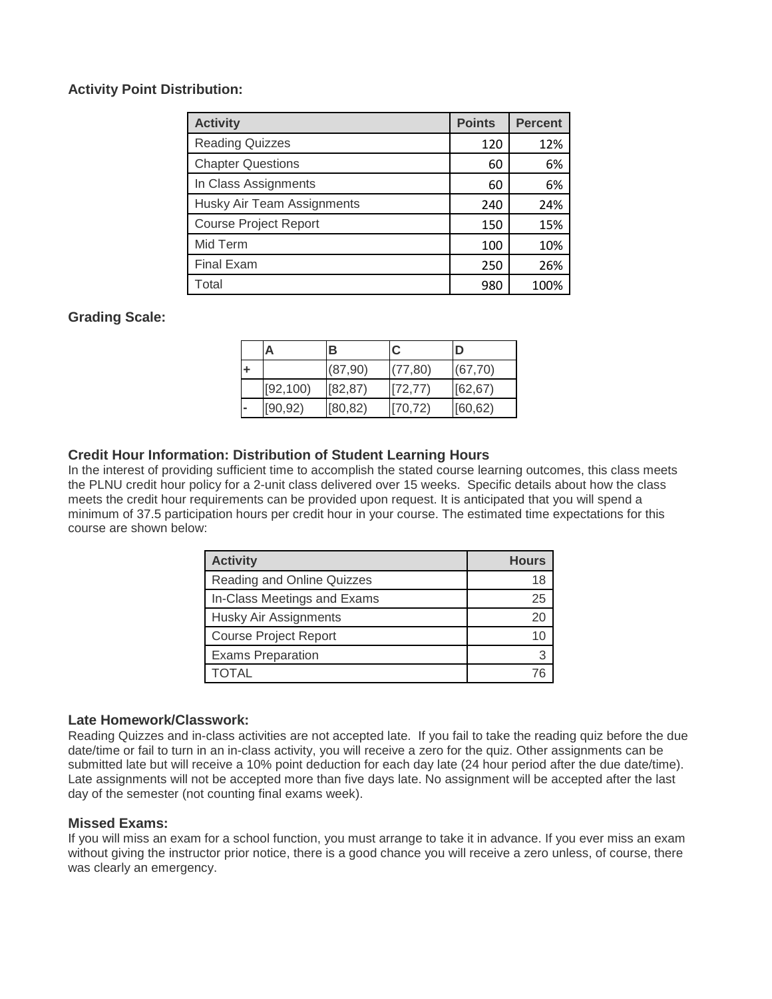# **Activity Point Distribution:**

| <b>Activity</b>              | <b>Points</b> | <b>Percent</b> |
|------------------------------|---------------|----------------|
| <b>Reading Quizzes</b>       | 120           | 12%            |
| <b>Chapter Questions</b>     | 60            | 6%             |
| In Class Assignments         | 60            | 6%             |
| Husky Air Team Assignments   | 240           | 24%            |
| <b>Course Project Report</b> | 150           | 15%            |
| Mid Term                     | 100           | 10%            |
| <b>Final Exam</b>            | 250           | 26%            |
| Total                        | 980           | 100%           |

# **Grading Scale:**

| Α         | в        | C        | D        |
|-----------|----------|----------|----------|
|           | (87,90)  | (77, 80) | (67, 70) |
| [92, 100] | [82, 87] | [72, 77] | [62, 67) |
| [90, 92)  | [80, 82) | [70, 72) | [60, 62] |

# **Credit Hour Information: Distribution of Student Learning Hours**

In the interest of providing sufficient time to accomplish the stated course learning outcomes, this class meets the PLNU credit hour policy for a 2-unit class delivered over 15 weeks. Specific details about how the class meets the credit hour requirements can be provided upon request. It is anticipated that you will spend a minimum of 37.5 participation hours per credit hour in your course. The estimated time expectations for this course are shown below:

| <b>Activity</b>              | <b>Hours</b> |  |
|------------------------------|--------------|--|
| Reading and Online Quizzes   | 18           |  |
| In-Class Meetings and Exams  | 25           |  |
| Husky Air Assignments        | 20           |  |
| <b>Course Project Report</b> | 10           |  |
| <b>Exams Preparation</b>     |              |  |
|                              |              |  |

#### **Late Homework/Classwork:**

Reading Quizzes and in-class activities are not accepted late. If you fail to take the reading quiz before the due date/time or fail to turn in an in-class activity, you will receive a zero for the quiz. Other assignments can be submitted late but will receive a 10% point deduction for each day late (24 hour period after the due date/time). Late assignments will not be accepted more than five days late. No assignment will be accepted after the last day of the semester (not counting final exams week).

#### **Missed Exams:**

If you will miss an exam for a school function, you must arrange to take it in advance. If you ever miss an exam without giving the instructor prior notice, there is a good chance you will receive a zero unless, of course, there was clearly an emergency.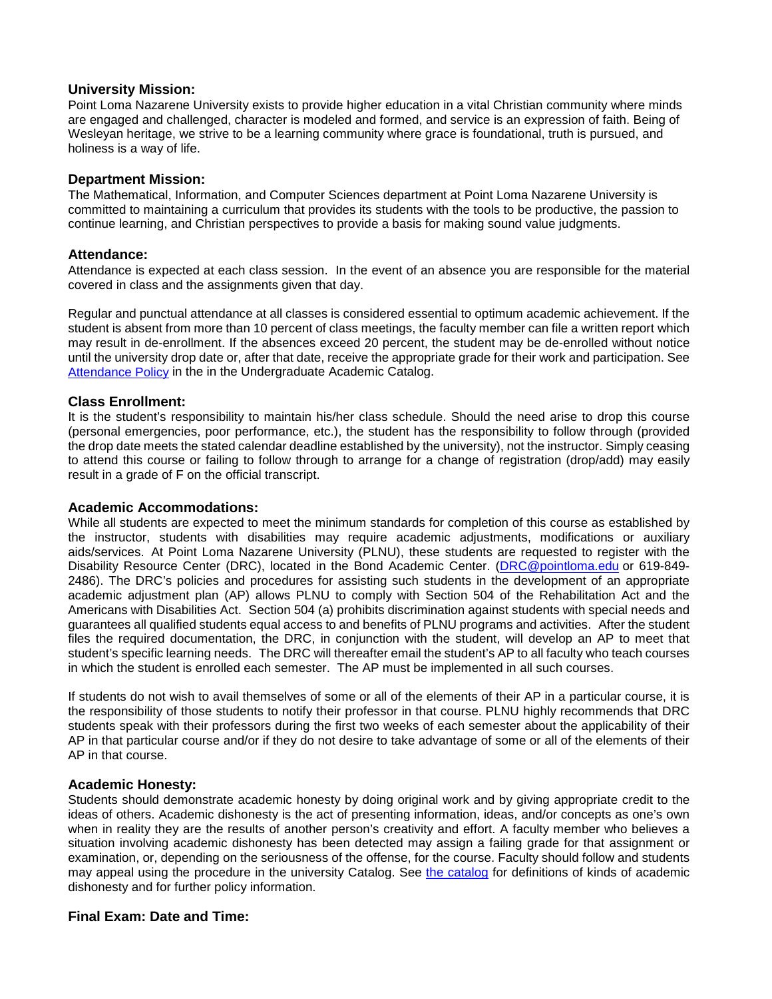#### **University Mission:**

Point Loma Nazarene University exists to provide higher education in a vital Christian community where minds are engaged and challenged, character is modeled and formed, and service is an expression of faith. Being of Wesleyan heritage, we strive to be a learning community where grace is foundational, truth is pursued, and holiness is a way of life.

#### **Department Mission:**

The Mathematical, Information, and Computer Sciences department at Point Loma Nazarene University is committed to maintaining a curriculum that provides its students with the tools to be productive, the passion to continue learning, and Christian perspectives to provide a basis for making sound value judgments.

#### **Attendance:**

Attendance is expected at each class session. In the event of an absence you are responsible for the material covered in class and the assignments given that day.

Regular and punctual attendance at all classes is considered essential to optimum academic achievement. If the student is absent from more than 10 percent of class meetings, the faculty member can file a written report which may result in de-enrollment. If the absences exceed 20 percent, the student may be de-enrolled without notice until the university drop date or, after that date, receive the appropriate grade for their work and participation. See [Attendance Policy](https://catalog.pointloma.edu/content.php?catoid=28&navoid=1761#Class_Attendance) in the in the Undergraduate Academic Catalog.

#### **Class Enrollment:**

It is the student's responsibility to maintain his/her class schedule. Should the need arise to drop this course (personal emergencies, poor performance, etc.), the student has the responsibility to follow through (provided the drop date meets the stated calendar deadline established by the university), not the instructor. Simply ceasing to attend this course or failing to follow through to arrange for a change of registration (drop/add) may easily result in a grade of F on the official transcript.

#### **Academic Accommodations:**

While all students are expected to meet the minimum standards for completion of this course as established by the instructor, students with disabilities may require academic adjustments, modifications or auxiliary aids/services. At Point Loma Nazarene University (PLNU), these students are requested to register with the Disability Resource Center (DRC), located in the Bond Academic Center. [\(DRC@pointloma.edu](mailto:DRC@pointloma.edu) or 619-849- 2486). The DRC's policies and procedures for assisting such students in the development of an appropriate academic adjustment plan (AP) allows PLNU to comply with Section 504 of the Rehabilitation Act and the Americans with Disabilities Act. Section 504 (a) prohibits discrimination against students with special needs and guarantees all qualified students equal access to and benefits of PLNU programs and activities. After the student files the required documentation, the DRC, in conjunction with the student, will develop an AP to meet that student's specific learning needs. The DRC will thereafter email the student's AP to all faculty who teach courses in which the student is enrolled each semester. The AP must be implemented in all such courses.

If students do not wish to avail themselves of some or all of the elements of their AP in a particular course, it is the responsibility of those students to notify their professor in that course. PLNU highly recommends that DRC students speak with their professors during the first two weeks of each semester about the applicability of their AP in that particular course and/or if they do not desire to take advantage of some or all of the elements of their AP in that course.

#### **Academic Honesty:**

Students should demonstrate academic honesty by doing original work and by giving appropriate credit to the ideas of others. Academic dishonesty is the act of presenting information, ideas, and/or concepts as one's own when in reality they are the results of another person's creativity and effort. A faculty member who believes a situation involving academic dishonesty has been detected may assign a failing grade for that assignment or examination, or, depending on the seriousness of the offense, for the course. Faculty should follow and students may appeal using the procedure in the university Catalog. See [the catalog](https://catalog.pointloma.edu/content.php?catoid=28&navoid=1761#Academic_Honesty) for definitions of kinds of academic dishonesty and for further policy information.

#### **Final Exam: Date and Time:**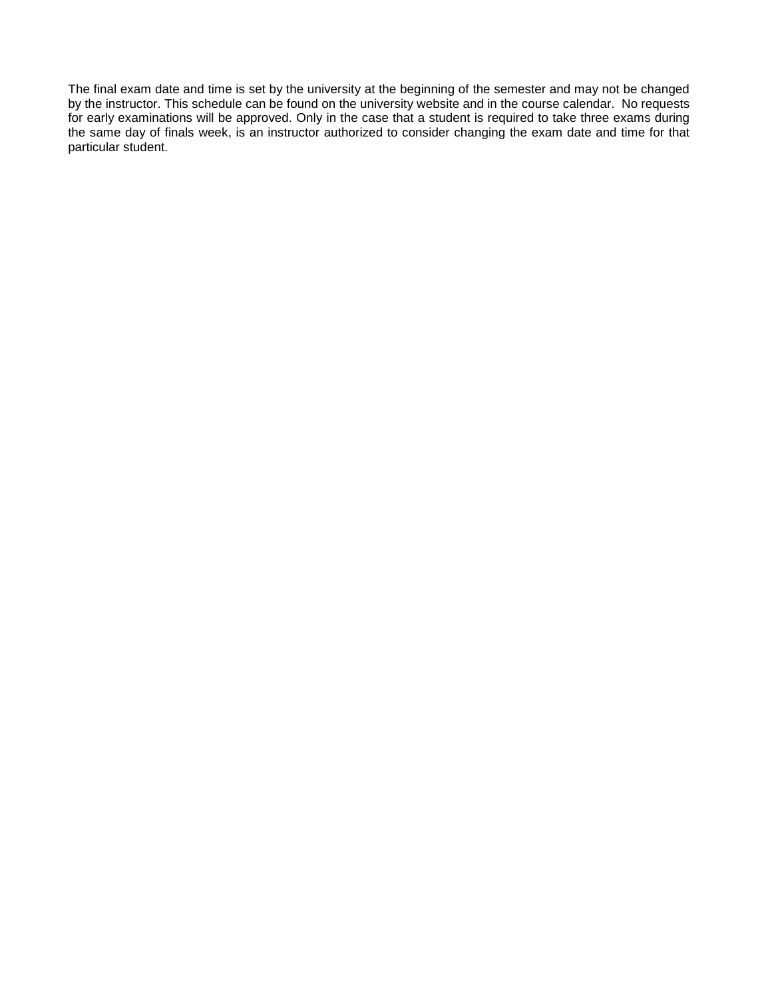The final exam date and time is set by the university at the beginning of the semester and may not be changed by the instructor. This schedule can be found on the university website and in the course calendar. No requests for early examinations will be approved. Only in the case that a student is required to take three exams during the same day of finals week, is an instructor authorized to consider changing the exam date and time for that particular student.